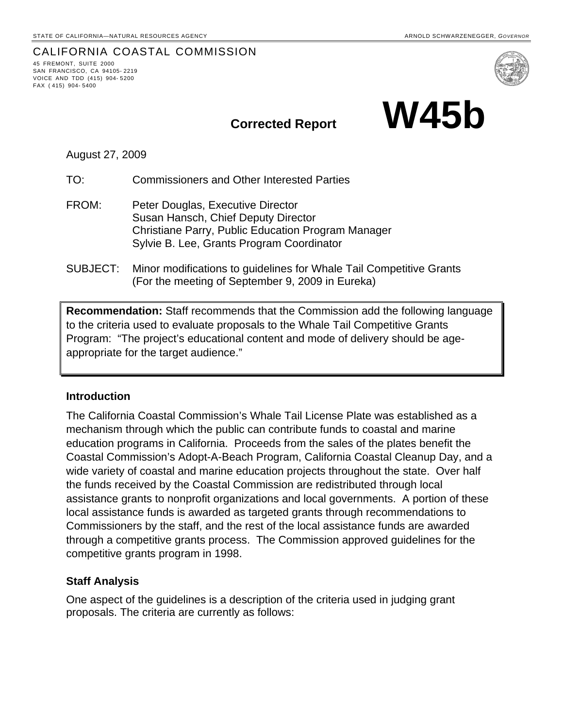# CALIFORNIA COASTAL COMMISSION 45 FREMONT, SUITE <sup>2000</sup>

SAN FRANCISCO, CA 94105- 2219 VOICE AND TDD (415) 904- 5200 FAX ( 415) 904- 5400



August 27, 2009

TO: Commissioners and Other Interested Parties

- FROM: Peter Douglas, Executive Director Susan Hansch, Chief Deputy Director Christiane Parry, Public Education Program Manager Sylvie B. Lee, Grants Program Coordinator
- SUBJECT: Minor modifications to guidelines for Whale Tail Competitive Grants (For the meeting of September 9, 2009 in Eureka)

**Recommendation:** Staff recommends that the Commission add the following language to the criteria used to evaluate proposals to the Whale Tail Competitive Grants Program: "The project's educational content and mode of delivery should be ageappropriate for the target audience."

## **Introduction**

The California Coastal Commission's Whale Tail License Plate was established as a mechanism through which the public can contribute funds to coastal and marine education programs in California. Proceeds from the sales of the plates benefit the Coastal Commission's Adopt-A-Beach Program, California Coastal Cleanup Day, and a wide variety of coastal and marine education projects throughout the state. Over half the funds received by the Coastal Commission are redistributed through local assistance grants to nonprofit organizations and local governments. A portion of these local assistance funds is awarded as targeted grants through recommendations to Commissioners by the staff, and the rest of the local assistance funds are awarded through a competitive grants process. The Commission approved guidelines for the competitive grants program in 1998.

## **Staff Analysis**

One aspect of the guidelines is a description of the criteria used in judging grant proposals. The criteria are currently as follows: